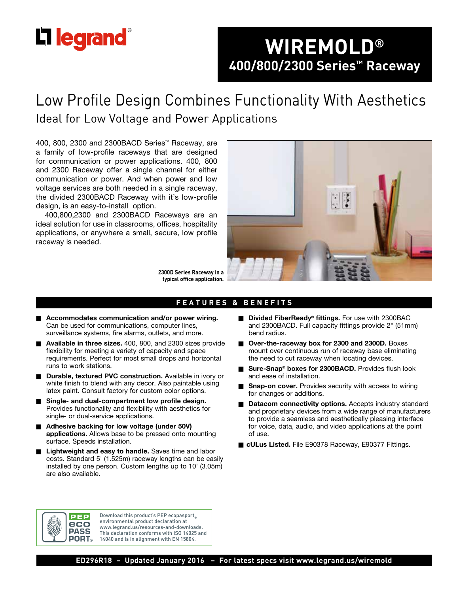# **L'i legrand**

# **WIREMOLD® 400/800/2300 Series™ Raceway**

# Low Profile Design Combines Functionality With Aesthetics Ideal for Low Voltage and Power Applications

400, 800, 2300 and 2300BACD Series™ Raceway, are a family of low-profile raceways that are designed for communication or power applications. 400, 800 and 2300 Raceway offer a single channel for either communication or power. And when power and low voltage services are both needed in a single raceway, the divided 2300BACD Raceway with it's low-profile design, is an easy-to-install option.

400,800,2300 and 2300BACD Raceways are an ideal solution for use in classrooms, offices, hospitality applications, or anywhere a small, secure, low profile raceway is needed.



**2300D Series Raceway in a typical office application.** 

#### **FEATURES & BENEFITS**

- Accommodates communication and/or power wiring. Can be used for communications, computer lines, surveillance systems, fire alarms, outlets, and more.
- **Available in three sizes.** 400, 800, and 2300 sizes provide flexibility for meeting a variety of capacity and space requirements. Perfect for most small drops and horizontal runs to work stations.
- **n** Durable, textured PVC construction. Available in ivory or white finish to blend with any decor. Also paintable using latex paint. Consult factory for custom color options.
- Single- and dual-compartment low profile design. Provides functionality and flexibility with aesthetics for single- or dual-service applications.
- Adhesive backing for low voltage (under 50V) **applications.** Allows base to be pressed onto mounting surface. Speeds installation.
- Lightweight and easy to handle. Saves time and labor costs. Standard 5' (1.525m) raceway lengths can be easily installed by one person. Custom lengths up to 10' (3.05m) are also available.
- **Divided FiberReady<sup>®</sup> fittings.** For use with 2300BAC and 2300BACD. Full capacity fittings provide 2" (51mm) bend radius.
- **D** Over-the-raceway box for 2300 and 2300D. Boxes mount over continuous run of raceway base eliminating the need to cut raceway when locating devices.
- Sure-Snap<sup>®</sup> boxes for 2300BACD. Provides flush look and ease of installation.
- **Snap-on cover.** Provides security with access to wiring for changes or additions.
- **n** Datacom connectivity options. Accepts industry standard and proprietary devices from a wide range of manufacturers to provide a seamless and aesthetically pleasing interface for voice, data, audio, and video applications at the point of use.
- cULus Listed. File E90378 Raceway, E90377 Fittings.



Download this product's PEP ecopasport environmental product declaration at www.legrand.us/resources-and-downloads. This declaration conforms with ISO 14025 and 14040 and is in alignment with EN 15804.

**ED296R18 – Updated January 2016 – For latest specs visit www.legrand.us/wiremold**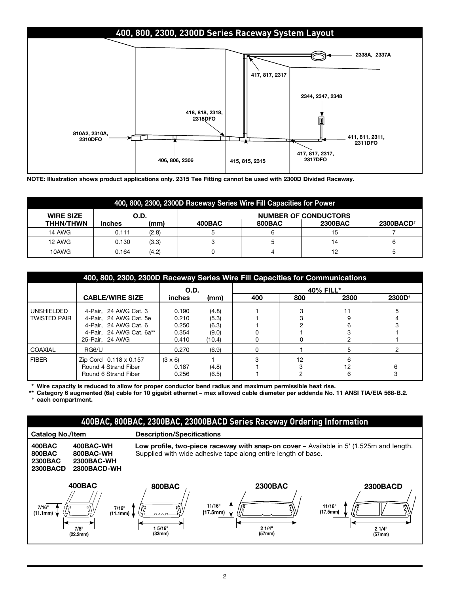## **400, 800, 2300, 2300D Series Raceway System Layout**



**NOTE: Illustration shows product applications only. 2315 Tee Fitting cannot be used with 2300D Divided Raceway.**

| 400, 800, 2300, 2300D Raceway Series Wire Fill Capacities for Power |                                     |       |        |        |                |                       |  |  |
|---------------------------------------------------------------------|-------------------------------------|-------|--------|--------|----------------|-----------------------|--|--|
| <b>WIRE SIZE</b>                                                    | <b>NUMBER OF CONDUCTORS</b><br>O.D. |       |        |        |                |                       |  |  |
| <b>THHN/THWN</b>                                                    | <b>Inches</b>                       | (mm)  | 400BAC | 800BAC | <b>2300BAC</b> | 2300BACD <sup>+</sup> |  |  |
| <b>14 AWG</b>                                                       | 0.111                               | (2.8) |        |        | 15             |                       |  |  |
| <b>12 AWG</b>                                                       | 0.130                               | (3.3) |        |        | 14             |                       |  |  |
| 10AWG                                                               | 0.164                               | (4.2) |        |        | 12             |                       |  |  |

| 400, 800, 2300, 2300D Raceway Series Wire Fill Capacities for Communications |                                                                                                                         |                                           |                                            |           |     |         |             |  |  |
|------------------------------------------------------------------------------|-------------------------------------------------------------------------------------------------------------------------|-------------------------------------------|--------------------------------------------|-----------|-----|---------|-------------|--|--|
|                                                                              |                                                                                                                         | O.D.                                      |                                            | 40% FILL* |     |         |             |  |  |
|                                                                              | <b>CABLE/WIRE SIZE</b>                                                                                                  | inches                                    | (mm)                                       | 400       | 800 | 2300    | $2300D^{+}$ |  |  |
| <b>UNSHIELDED</b><br><b>TWISTED PAIR</b>                                     | 4-Pair, 24 AWG Cat. 3<br>4-Pair. 24 AWG Cat. 5e<br>4-Pair. 24 AWG Cat. 6<br>4-Pair. 24 AWG Cat. 6a**<br>25-Pair. 24 AWG | 0.190<br>0.210<br>0.250<br>0.354<br>0.410 | (4.8)<br>(5.3)<br>(6.3)<br>(9.0)<br>(10.4) |           |     |         |             |  |  |
| COAXIAL                                                                      | RG6/U                                                                                                                   | 0.270                                     | (6.9)                                      |           |     |         |             |  |  |
| <b>FIBER</b>                                                                 | Zip Cord 0.118 x 0.157<br>Round 4 Strand Fiber<br>Round 6 Strand Fiber                                                  | $(3 \times 6)$<br>0.187<br>0.256          | (4.8)<br>(6.5)                             |           | 12  | 12<br>6 |             |  |  |

**\* Wire capacity is reduced to allow for proper conductor bend radius and maximum permissible heat rise.**

**\*\* Category 6 augmented (6a) cable for 10 gigabit ethernet – max allowed cable diameter per addenda No. 11 ANSI TIA/EIA 568-B.2. † each compartment.**

#### **400BAC, 800BAC, 2300BAC, 23000BACD Series Raceway Ordering Information**

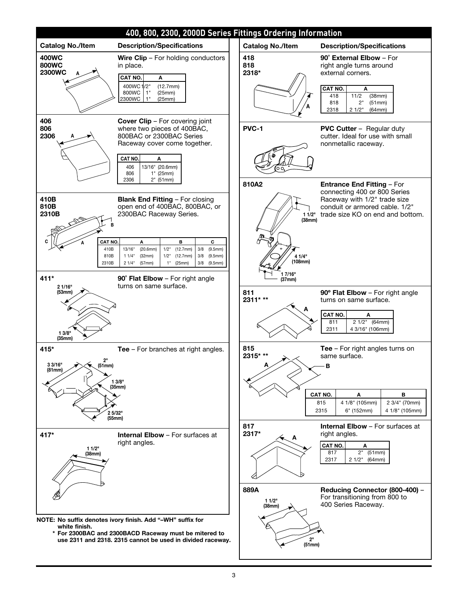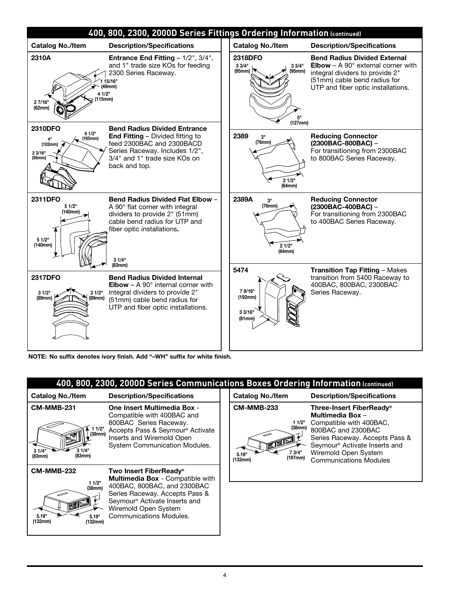| 400, 800, 2300, 2000D Series Fittings Ordering Information (continued)          |                                                                                                                                                                                                               |                                                          |                                                                                                                                                                                                     |  |  |  |  |  |
|---------------------------------------------------------------------------------|---------------------------------------------------------------------------------------------------------------------------------------------------------------------------------------------------------------|----------------------------------------------------------|-----------------------------------------------------------------------------------------------------------------------------------------------------------------------------------------------------|--|--|--|--|--|
| <b>Catalog No./Item</b>                                                         | <b>Description/Specifications</b>                                                                                                                                                                             | <b>Catalog No./Item</b>                                  | <b>Description/Specifications</b>                                                                                                                                                                   |  |  |  |  |  |
| 2310A<br>27/16"<br>(62mm)                                                       | <b>Entrance End Fitting - 1/2", 3/4",</b><br>and 1" trade size KOs for feeding<br>2300 Series Raceway.<br>15/16"<br>(49mm)<br>4 1/2"<br>(115mm)                                                               | 2318DFO<br>33/4"<br>33/4"<br>(95mm)<br>(95mm)<br>(127mm) | <b>Bend Radius Divided External</b><br><b>Elbow</b> – A 90 $^{\circ}$ external corner with<br>integral dividers to provide 2"<br>(51mm) cable bend radius for<br>UTP and fiber optic installations. |  |  |  |  |  |
| <b>2310DFO</b><br>61/2"<br>$\leftarrow$ (165mm)<br>(102mm)<br>2 3/16"<br>(56mm) | <b>Bend Radius Divided Entrance</b><br><b>End Fitting - Divided fitting to</b><br>feed 2300BAC and 2300BACD<br>Series Raceway. Includes 1/2",<br>3/4" and 1" trade size KOs on<br>back and top.               | 2389<br>3"<br>(76mm)<br>21/2"<br>(64mm)                  | <b>Reducing Connector</b><br>$(2300BAC-800BAC) -$<br>For transitioning from 2300BAC<br>to 800BAC Series Raceway.                                                                                    |  |  |  |  |  |
| <b>2311DFO</b><br>51/2"<br>(140mm)<br>51/2"<br>(140mm)                          | Bend Radius Divided Flat Elbow -<br>A 90° flat corner with integral<br>dividers to provide 2" (51mm)<br>cable bend radius for UTP and<br>fiber optic installations.<br>31/4"                                  | 2389A<br>3"<br>(76mm)<br>21/2"<br>(64mm)                 | <b>Reducing Connector</b><br>$(2300BAC-400BAC) -$<br>For transitioning from 2300BAC<br>to 400BAC Series Raceway.                                                                                    |  |  |  |  |  |
| 2317DFO<br>31/2"<br>31/2"<br>(89mm)<br>(89mm)                                   | (83mm)<br><b>Bend Radius Divided Internal</b><br><b>Elbow</b> – A 90 $^{\circ}$ internal corner with<br>integral dividers to provide 2"<br>(51mm) cable bend radius for<br>UTP and fiber optic installations. | 5474<br>79/16"<br>(192mm)<br>3 3/16"<br>(81mm)           | <b>Transition Tap Fitting - Makes</b><br>transition from 5400 Raceway to<br>400BAC, 800BAC, 2300BAC<br>Series Raceway.                                                                              |  |  |  |  |  |

**NOTE: No suffix denotes ivory finish. Add "–WH" suffix for white finish.**

|                                                                                      | 400, 800, 2300, 2000D Series Communications Boxes Ordering Information (continued)                                                                                                                                                             |  |                                                                                                |                                                                                                                                                                                                                                       |  |  |  |  |  |  |  |
|--------------------------------------------------------------------------------------|------------------------------------------------------------------------------------------------------------------------------------------------------------------------------------------------------------------------------------------------|--|------------------------------------------------------------------------------------------------|---------------------------------------------------------------------------------------------------------------------------------------------------------------------------------------------------------------------------------------|--|--|--|--|--|--|--|
| <b>Catalog No./Item</b>                                                              | <b>Description/Specifications</b>                                                                                                                                                                                                              |  | <b>Catalog No./Item</b>                                                                        | <b>Description/Specifications</b>                                                                                                                                                                                                     |  |  |  |  |  |  |  |
| <b>CM-MMB-231</b><br>11/2"<br>(38mm)<br>31/4"<br>31/4"<br>(83mm)<br>(83mm)           | <b>One Insert Multimedia Box -</b><br>Compatible with 400BAC and<br>800BAC Series Raceway.<br>Accepts Pass & Seymour <sup>®</sup> Activate<br>Inserts and Wiremold Open<br>System Communication Modules.                                       |  | <b>CM-MMB-233</b><br>1 1/2"<br>(38mm)<br>$\mathbb{Z}$<br>7 3/4"<br>5.19"<br>(197mm)<br>(132mm) | Three-Insert FiberReady®<br>Multimedia Box -<br>Compatible with 400BAC,<br>800BAC and 2300BAC<br>Series Raceway. Accepts Pass &<br>Seymour <sup>®</sup> Activate Inserts and<br>Wiremold Open System<br><b>Communications Modules</b> |  |  |  |  |  |  |  |
| <b>CM-MMB-232</b><br>11/2"<br>(38mm)<br>1912<br>5.19"<br>5.19"<br>(132mm)<br>(132mm) | Two Insert FiberReady <sup>®</sup><br><b>Multimedia Box - Compatible with</b><br>400BAC, 800BAC, and 2300BAC<br>Series Raceway. Accepts Pass &<br>Seymour <sup>®</sup> Activate Inserts and<br>Wiremold Open System<br>Communications Modules. |  |                                                                                                |                                                                                                                                                                                                                                       |  |  |  |  |  |  |  |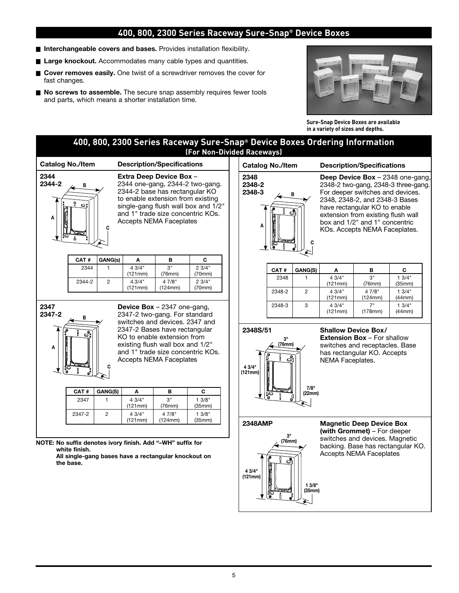### **400, 800, 2300 Series Raceway Sure-Snap® Device Boxes**

- **n Interchangeable covers and bases.** Provides installation flexibility.
- Large knockout. Accommodates many cable types and quantities.
- Cover removes easily. One twist of a screwdriver removes the cover for fast changes.
- No screws to assemble. The secure snap assembly requires fewer tools and parts, which means a shorter installation time.



**Sure-Snap Device Boxes are available in a variety of sizes and depths.**

|                                                                                                                                                                                                                                           |                                                                                                                                                                         |                                                                                                                                                                                                                                                                                           |                                                                                                         | 400, 800, 2300 Series Raceway Sure-Snap® Device Boxes Ordering Information<br>(For Non-Divided Raceways) |  |                               |                                                                                                                                                                                                                                                                                                              |                 |                                                                                                                                                       |                                                                                                                                    |                                   |  |
|-------------------------------------------------------------------------------------------------------------------------------------------------------------------------------------------------------------------------------------------|-------------------------------------------------------------------------------------------------------------------------------------------------------------------------|-------------------------------------------------------------------------------------------------------------------------------------------------------------------------------------------------------------------------------------------------------------------------------------------|---------------------------------------------------------------------------------------------------------|----------------------------------------------------------------------------------------------------------|--|-------------------------------|--------------------------------------------------------------------------------------------------------------------------------------------------------------------------------------------------------------------------------------------------------------------------------------------------------------|-----------------|-------------------------------------------------------------------------------------------------------------------------------------------------------|------------------------------------------------------------------------------------------------------------------------------------|-----------------------------------|--|
| <b>Catalog No./Item</b>                                                                                                                                                                                                                   |                                                                                                                                                                         |                                                                                                                                                                                                                                                                                           |                                                                                                         |                                                                                                          |  | <b>Catalog No./Item</b>       |                                                                                                                                                                                                                                                                                                              |                 |                                                                                                                                                       | <b>Description/Specifications</b>                                                                                                  |                                   |  |
| 2344<br>2344-2<br>в<br>Ő.<br>$\circ$ :<br>A<br>CAT#                                                                                                                                                                                       | GANG(s)                                                                                                                                                                 | <b>Description/Specifications</b><br>Extra Deep Device Box -<br>2344 one-gang, 2344-2 two-gang.<br>2344-2 base has rectangular KO<br>to enable extension from existing<br>single-gang flush wall box and 1/2"<br>and 1" trade size concentric KOs.<br><b>Accepts NEMA Faceplates</b><br>C |                                                                                                         |                                                                                                          |  | 2348<br>2348-2<br>2348-3<br>A | Deep Device Box - 2348 one-gang,<br>2348-2 two-gang, 2348-3 three-gang.<br>For deeper switches and devices.<br>в<br>2348, 2348-2, and 2348-3 Bases<br>have rectangular KO to enable<br>சி<br>extension from existing flush wall<br>box and 1/2" and 1" concentric<br>KOs. Accepts NEMA Faceplates.<br>C<br>€ |                 |                                                                                                                                                       |                                                                                                                                    |                                   |  |
| 2344                                                                                                                                                                                                                                      | $\mathbf{1}$                                                                                                                                                            | Α<br>43/4"                                                                                                                                                                                                                                                                                | в<br>3"                                                                                                 | 23/4"                                                                                                    |  |                               | CAT#                                                                                                                                                                                                                                                                                                         | GANG(S)         | Α                                                                                                                                                     | в                                                                                                                                  | C                                 |  |
| 2344-2                                                                                                                                                                                                                                    | $\overline{2}$                                                                                                                                                          | (121mm)<br>4.3/4"                                                                                                                                                                                                                                                                         | (76mm)<br>4 7/8"                                                                                        | (70mm)<br>23/4"                                                                                          |  |                               | 2348                                                                                                                                                                                                                                                                                                         | $\mathbf{1}$    | 43/4"<br>(121mm)                                                                                                                                      | 3"<br>(76mm)                                                                                                                       | 13/4"<br>(35mm)                   |  |
|                                                                                                                                                                                                                                           |                                                                                                                                                                         | (121mm)                                                                                                                                                                                                                                                                                   | (124mm)                                                                                                 | (70mm)                                                                                                   |  |                               | 2348-2                                                                                                                                                                                                                                                                                                       | $\overline{c}$  | 43/4"<br>(121mm)                                                                                                                                      | 4 7/8"<br>(124mm)                                                                                                                  | 13/4"<br>(44mm)                   |  |
| 2347<br>2347-2<br>В                                                                                                                                                                                                                       |                                                                                                                                                                         |                                                                                                                                                                                                                                                                                           | <b>Device Box</b> $-$ 2347 one-gang,<br>2347-2 two-gang. For standard<br>switches and devices. 2347 and |                                                                                                          |  |                               | 2348-3                                                                                                                                                                                                                                                                                                       | 3               | 4 3/4"<br>(121mm)                                                                                                                                     | 7"<br>(178mm)                                                                                                                      | 13/4"<br>(44mm)                   |  |
| Α                                                                                                                                                                                                                                         | 2347-2 Bases have rectangular<br>KO to enable extension from<br>existing flush wall box and 1/2"<br>and 1" trade size concentric KOs.<br><b>Accepts NEMA Faceplates</b> |                                                                                                                                                                                                                                                                                           |                                                                                                         |                                                                                                          |  | 2348S/51<br>4 3/4"<br>(121mm) | 3 <sup>II</sup><br>(76mm)<br>ප්                                                                                                                                                                                                                                                                              |                 | <b>Shallow Device Box/</b><br><b>Extension Box - For shallow</b><br>switches and receptacles. Base<br>has rectangular KO. Accepts<br>NEMA Faceplates. |                                                                                                                                    |                                   |  |
| CAT#                                                                                                                                                                                                                                      | GANG(S)                                                                                                                                                                 | A                                                                                                                                                                                                                                                                                         | B                                                                                                       | C                                                                                                        |  |                               | PG<br>P                                                                                                                                                                                                                                                                                                      | 7/8"<br>(22mm)  |                                                                                                                                                       |                                                                                                                                    |                                   |  |
| 2347                                                                                                                                                                                                                                      | 1                                                                                                                                                                       | 43/4"<br>(121mm)                                                                                                                                                                                                                                                                          | 3"<br>(76mm)                                                                                            | 13/8"<br>(35mm)                                                                                          |  |                               |                                                                                                                                                                                                                                                                                                              |                 |                                                                                                                                                       |                                                                                                                                    |                                   |  |
| 2347-2<br>$\overline{c}$<br>4 3/4"<br>4 7/8"<br>13/8"<br>(121mm)<br>(124mm)<br>(35mm)<br>NOTE: No suffix denotes ivory finish. Add "-WH" suffix for<br>white finish.<br>All single-gang bases have a rectangular knockout on<br>the base. |                                                                                                                                                                         |                                                                                                                                                                                                                                                                                           |                                                                                                         |                                                                                                          |  | <b>2348AMP</b>                | 3"<br>(76mm)                                                                                                                                                                                                                                                                                                 |                 |                                                                                                                                                       | <b>Magnetic Deep Device Box</b><br>(with Grommet) – For deeper<br>switches and devices. Magnetic<br><b>Accepts NEMA Faceplates</b> | backing. Base has rectangular KO. |  |
|                                                                                                                                                                                                                                           |                                                                                                                                                                         |                                                                                                                                                                                                                                                                                           |                                                                                                         |                                                                                                          |  | 43/4"<br>(121mm)              |                                                                                                                                                                                                                                                                                                              | 13/8"<br>(35mm) |                                                                                                                                                       |                                                                                                                                    |                                   |  |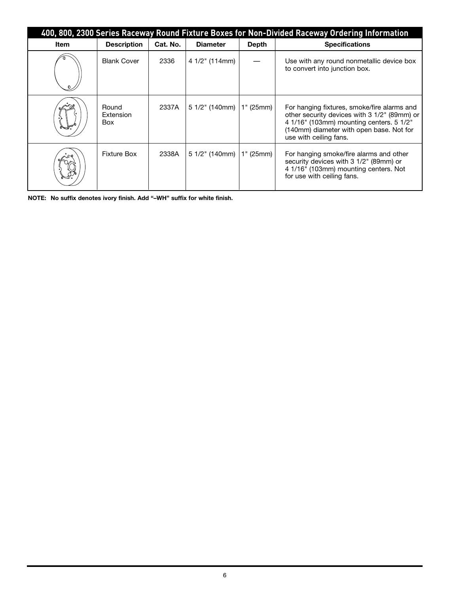| 400, 800, 2300 Series Raceway Round Fixture Boxes for Non-Divided Raceway Ordering Information |                                  |          |                  |              |                                                                                                                                                                                                               |  |  |  |  |
|------------------------------------------------------------------------------------------------|----------------------------------|----------|------------------|--------------|---------------------------------------------------------------------------------------------------------------------------------------------------------------------------------------------------------------|--|--|--|--|
| Item                                                                                           | <b>Description</b>               | Cat. No. | <b>Diameter</b>  | <b>Depth</b> | <b>Specifications</b>                                                                                                                                                                                         |  |  |  |  |
|                                                                                                | <b>Blank Cover</b>               | 2336     | 4 1/2" (114mm)   |              | Use with any round nonmetallic device box<br>to convert into junction box.                                                                                                                                    |  |  |  |  |
|                                                                                                | Round<br>Extension<br><b>Box</b> | 2337A    | $51/2$ " (140mm) | 1" (25mm)    | For hanging fixtures, smoke/fire alarms and<br>other security devices with 3 1/2" (89mm) or<br>4 1/16" (103mm) mounting centers. 5 1/2"<br>(140mm) diameter with open base. Not for<br>use with ceiling fans. |  |  |  |  |
|                                                                                                | Fixture Box                      | 2338A    | $51/2$ " (140mm) | 1" (25mm)    | For hanging smoke/fire alarms and other<br>security devices with 3 1/2" (89mm) or<br>4 1/16" (103mm) mounting centers. Not<br>for use with ceiling fans.                                                      |  |  |  |  |

**NOTE: No suffix denotes ivory finish. Add "–WH" suffix for white finish.**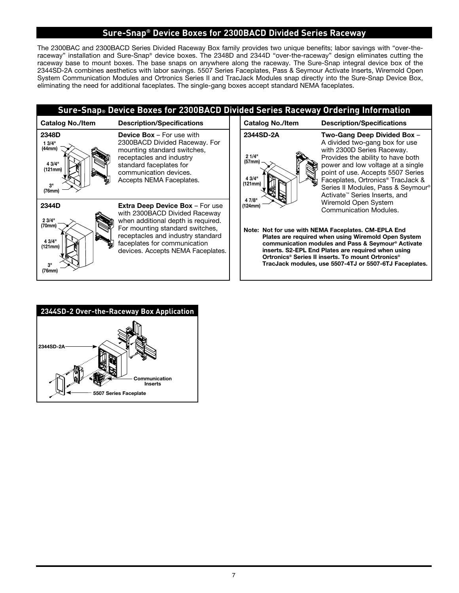## **Sure-Snap® Device Boxes for 2300BACD Divided Series Raceway**

The 2300BAC and 2300BACD Series Divided Raceway Box family provides two unique benefits; labor savings with "over-theraceway" installation and Sure-Snap® device boxes. The 2348D and 2344D "over-the-raceway" design eliminates cutting the raceway base to mount boxes. The base snaps on anywhere along the raceway. The Sure-Snap integral device box of the 2344SD-2A combines aesthetics with labor savings. 5507 Series Faceplates, Pass & Seymour Activate Inserts, Wiremold Open System Communication Modules and Ortronics Series II and TracJack Modules snap directly into the Sure-Snap Device Box, eliminating the need for additional faceplates. The single-gang boxes accept standard NEMA faceplates.

|                                                               | Sure-Snap® Device Boxes for 2300BACD Divided Series Raceway Ordering Information                                                                                                                                                                           |                                                                |                                                                                                                                                                                                                                                                                                                                                                                         |
|---------------------------------------------------------------|------------------------------------------------------------------------------------------------------------------------------------------------------------------------------------------------------------------------------------------------------------|----------------------------------------------------------------|-----------------------------------------------------------------------------------------------------------------------------------------------------------------------------------------------------------------------------------------------------------------------------------------------------------------------------------------------------------------------------------------|
| <b>Catalog No./Item</b>                                       | <b>Description/Specifications</b>                                                                                                                                                                                                                          | <b>Catalog No./Item</b>                                        | <b>Description/Specifications</b>                                                                                                                                                                                                                                                                                                                                                       |
| 2348D<br>13/4"<br>(44mm)<br>4 3/4"<br>(121mm)<br>3"<br>(76mm) | <b>Device Box - For use with</b><br>2300BACD Divided Raceway. For<br>mounting standard switches,<br>receptacles and industry<br>standard faceplates for<br>communication devices.<br>Accepts NEMA Faceplates.                                              | 2344SD-2A<br>21/4"<br>(57 <sub>mm</sub> )<br>4 3/4"<br>(121mm) | Two-Gang Deep Divided Box -<br>A divided two-gang box for use<br>with 2300D Series Raceway.<br>Provides the ability to have both<br>power and low voltage at a single<br>point of use. Accepts 5507 Series<br>Faceplates, Ortronics <sup>®</sup> TracJack &<br>Series II Modules, Pass & Seymour <sup>®</sup><br>Activate <sup>™</sup> Series Inserts, and                              |
| 2344D<br>23/4"<br>(70mm)<br>4 3/4"<br>(121mm)<br>3"<br>(76mm) | <b>Extra Deep Device Box - For use</b><br>with 2300BACD Divided Raceway<br>when additional depth is required.<br>For mounting standard switches,<br>receptacles and industry standard<br>faceplates for communication<br>devices. Accepts NEMA Faceplates. | 4 7/8"<br>(124mm)                                              | Wiremold Open System<br>Communication Modules.<br>Note: Not for use with NEMA Faceplates. CM-EPLA End<br>Plates are required when using Wiremold Open System<br>communication modules and Pass & Seymour® Activate<br>inserts. S2-EPL End Plates are required when using<br>Ortronics® Series II inserts. To mount Ortronics®<br>TracJack modules, use 5507-4TJ or 5507-6TJ Faceplates. |